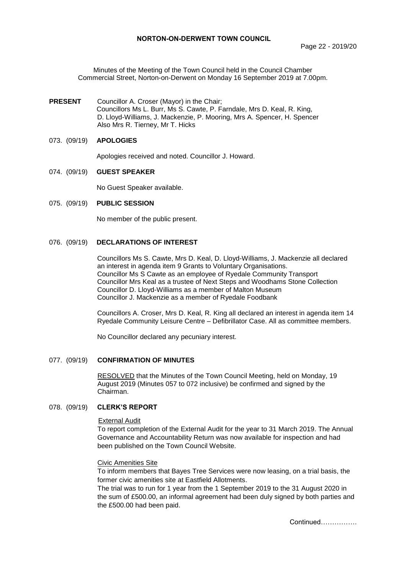Minutes of the Meeting of the Town Council held in the Council Chamber Commercial Street, Norton-on-Derwent on Monday 16 September 2019 at 7.00pm.

**PRESENT** Councillor A. Croser (Mayor) in the Chair; Councillors Ms L. Burr, Ms S. Cawte, P. Farndale, Mrs D. Keal, R. King, D. Lloyd-Williams, J. Mackenzie, P. Mooring, Mrs A. Spencer, H. Spencer Also Mrs R. Tierney, Mr T. Hicks

#### 073. (09/19) **APOLOGIES**

Apologies received and noted. Councillor J. Howard.

#### 074. (09/19) **GUEST SPEAKER**

No Guest Speaker available.

## 075. (09/19) **PUBLIC SESSION**

No member of the public present.

# 076. (09/19) **DECLARATIONS OF INTEREST**

Councillors Ms S. Cawte, Mrs D. Keal, D. Lloyd-Williams, J. Mackenzie all declared an interest in agenda item 9 Grants to Voluntary Organisations. Councillor Ms S Cawte as an employee of Ryedale Community Transport Councillor Mrs Keal as a trustee of Next Steps and Woodhams Stone Collection Councillor D. Lloyd-Williams as a member of Malton Museum Councillor J. Mackenzie as a member of Ryedale Foodbank

Councillors A. Croser, Mrs D. Keal, R. King all declared an interest in agenda item 14 Ryedale Community Leisure Centre – Defibrillator Case. All as committee members.

No Councillor declared any pecuniary interest.

## 077. (09/19) **CONFIRMATION OF MINUTES**

RESOLVED that the Minutes of the Town Council Meeting, held on Monday, 19 August 2019 (Minutes 057 to 072 inclusive) be confirmed and signed by the Chairman.

# 078. (09/19) **CLERK'S REPORT**

## External Audit

To report completion of the External Audit for the year to 31 March 2019. The Annual Governance and Accountability Return was now available for inspection and had been published on the Town Council Website.

#### Civic Amenities Site

To inform members that Bayes Tree Services were now leasing, on a trial basis, the former civic amenities site at Eastfield Allotments.

The trial was to run for 1 year from the 1 September 2019 to the 31 August 2020 in the sum of £500.00, an informal agreement had been duly signed by both parties and the £500.00 had been paid.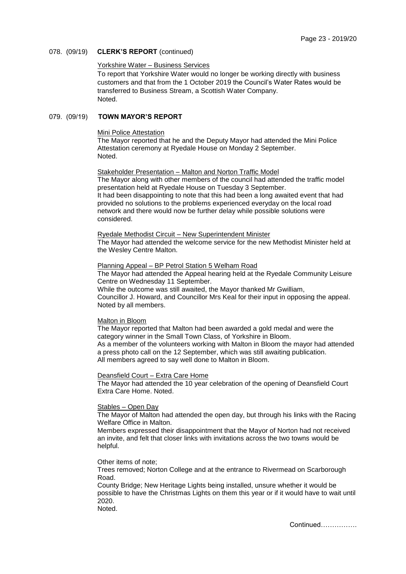## 078. (09/19) **CLERK'S REPORT** (continued)

## Yorkshire Water – Business Services

To report that Yorkshire Water would no longer be working directly with business customers and that from the 1 October 2019 the Council's Water Rates would be transferred to Business Stream, a Scottish Water Company. Noted.

## 079. (09/19) **TOWN MAYOR'S REPORT**

### Mini Police Attestation

The Mayor reported that he and the Deputy Mayor had attended the Mini Police Attestation ceremony at Ryedale House on Monday 2 September. Noted.

#### Stakeholder Presentation – Malton and Norton Traffic Model

The Mayor along with other members of the council had attended the traffic model presentation held at Ryedale House on Tuesday 3 September. It had been disappointing to note that this had been a long awaited event that had provided no solutions to the problems experienced everyday on the local road network and there would now be further delay while possible solutions were considered.

## Ryedale Methodist Circuit – New Superintendent Minister

The Mayor had attended the welcome service for the new Methodist Minister held at the Wesley Centre Malton.

# Planning Appeal – BP Petrol Station 5 Welham Road

The Mayor had attended the Appeal hearing held at the Ryedale Community Leisure Centre on Wednesday 11 September.

While the outcome was still awaited, the Mayor thanked Mr Gwilliam, Councillor J. Howard, and Councillor Mrs Keal for their input in opposing the appeal. Noted by all members.

#### Malton in Bloom

The Mayor reported that Malton had been awarded a gold medal and were the category winner in the Small Town Class, of Yorkshire in Bloom. As a member of the volunteers working with Malton in Bloom the mayor had attended a press photo call on the 12 September, which was still awaiting publication. All members agreed to say well done to Malton in Bloom.

#### Deansfield Court – Extra Care Home

The Mayor had attended the 10 year celebration of the opening of Deansfield Court Extra Care Home. Noted.

#### Stables – Open Day

The Mayor of Malton had attended the open day, but through his links with the Racing Welfare Office in Malton.

Members expressed their disappointment that the Mayor of Norton had not received an invite, and felt that closer links with invitations across the two towns would be helpful.

#### Other items of note;

Trees removed; Norton College and at the entrance to Rivermead on Scarborough Road.

County Bridge; New Heritage Lights being installed, unsure whether it would be possible to have the Christmas Lights on them this year or if it would have to wait until 2020.

Noted.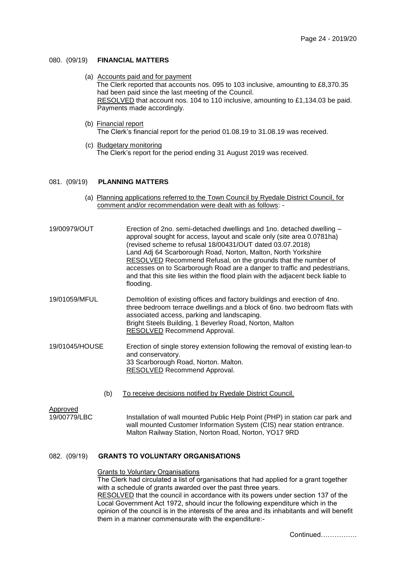## 080. (09/19) **FINANCIAL MATTERS**

- (a) Accounts paid and for payment The Clerk reported that accounts nos. 095 to 103 inclusive, amounting to £8,370.35 had been paid since the last meeting of the Council. RESOLVED that account nos. 104 to 110 inclusive, amounting to £1,134.03 be paid. Payments made accordingly.
- (b) Financial report The Clerk's financial report for the period 01.08.19 to 31.08.19 was received.
- (c) Budgetary monitoring The Clerk's report for the period ending 31 August 2019 was received.

#### 081. (09/19) **PLANNING MATTERS**

- (a) Planning applications referred to the Town Council by Ryedale District Council, for comment and/or recommendation were dealt with as follows: -
- 19/00979/OUT Erection of 2no. semi-detached dwellings and 1no. detached dwelling approval sought for access, layout and scale only (site area 0.0781ha) (revised scheme to refusal 18/00431/OUT dated 03.07.2018) Land Adj 64 Scarborough Road, Norton, Malton, North Yorkshire RESOLVED Recommend Refusal, on the grounds that the number of accesses on to Scarborough Road are a danger to traffic and pedestrians, and that this site lies within the flood plain with the adjacent beck liable to flooding.
- 19/01059/MFUL Demolition of existing offices and factory buildings and erection of 4no. three bedroom terrace dwellings and a block of 6no. two bedroom flats with associated access, parking and landscaping. Bright Steels Building, 1 Beverley Road, Norton, Malton RESOLVED Recommend Approval.
- 19/01045/HOUSE Erection of single storey extension following the removal of existing lean-to and conservatory. 33 Scarborough Road, Norton. Malton. RESOLVED Recommend Approval.
	- (b) To receive decisions notified by Ryedale District Council.

Approved

19/00779/LBC Installation of wall mounted Public Help Point (PHP) in station car park and wall mounted Customer Information System (CIS) near station entrance. Malton Railway Station, Norton Road, Norton, YO17 9RD

## 082. (09/19) **GRANTS TO VOLUNTARY ORGANISATIONS**

## Grants to Voluntary Organisations

The Clerk had circulated a list of organisations that had applied for a grant together with a schedule of grants awarded over the past three years.

RESOLVED that the council in accordance with its powers under section 137 of the Local Government Act 1972, should incur the following expenditure which in the opinion of the council is in the interests of the area and its inhabitants and will benefit them in a manner commensurate with the expenditure:-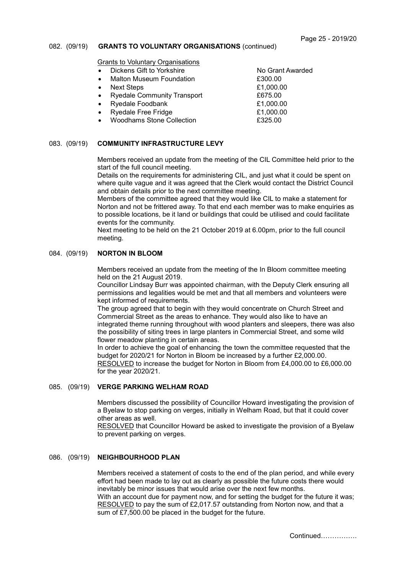## 082. (09/19) **GRANTS TO VOLUNTARY ORGANISATIONS** (continued)

Grants to Voluntary Organisations

- Dickens Gift to Yorkshire No Grant Awarded
- Malton Museum Foundation **E300.00**
- 
- Ryedale Community Transport **E675.00**
- Ryedale Foodbank **E1,000.00**
- Ryedale Free Fridge **E1,000.00**
- Woodhams Stone Collection **E325.00**

Next Steps  $\frac{2}{1000.00}$ 

# 083. (09/19) **COMMUNITY INFRASTRUCTURE LEVY**

Members received an update from the meeting of the CIL Committee held prior to the start of the full council meeting.

Details on the requirements for administering CIL, and just what it could be spent on where quite vague and it was agreed that the Clerk would contact the District Council and obtain details prior to the next committee meeting.

Members of the committee agreed that they would like CIL to make a statement for Norton and not be frittered away. To that end each member was to make enquiries as to possible locations, be it land or buildings that could be utilised and could facilitate events for the community.

Next meeting to be held on the 21 October 2019 at 6.00pm, prior to the full council meeting.

## 084. (09/19) **NORTON IN BLOOM**

Members received an update from the meeting of the In Bloom committee meeting held on the 21 August 2019.

Councillor Lindsay Burr was appointed chairman, with the Deputy Clerk ensuring all permissions and legalities would be met and that all members and volunteers were kept informed of requirements.

The group agreed that to begin with they would concentrate on Church Street and Commercial Street as the areas to enhance. They would also like to have an integrated theme running throughout with wood planters and sleepers, there was also the possibility of siting trees in large planters in Commercial Street, and some wild flower meadow planting in certain areas.

In order to achieve the goal of enhancing the town the committee requested that the budget for 2020/21 for Norton in Bloom be increased by a further £2,000.00. RESOLVED to increase the budget for Norton in Bloom from £4,000.00 to £6,000.00 for the year 2020/21.

# 085. (09/19) **VERGE PARKING WELHAM ROAD**

Members discussed the possibility of Councillor Howard investigating the provision of a Byelaw to stop parking on verges, initially in Welham Road, but that it could cover other areas as well.

RESOLVED that Councillor Howard be asked to investigate the provision of a Byelaw to prevent parking on verges.

#### 086. (09/19) **NEIGHBOURHOOD PLAN**

Members received a statement of costs to the end of the plan period, and while every effort had been made to lay out as clearly as possible the future costs there would inevitably be minor issues that would arise over the next few months. With an account due for payment now, and for setting the budget for the future it was; RESOLVED to pay the sum of £2,017.57 outstanding from Norton now, and that a sum of £7,500.00 be placed in the budget for the future.